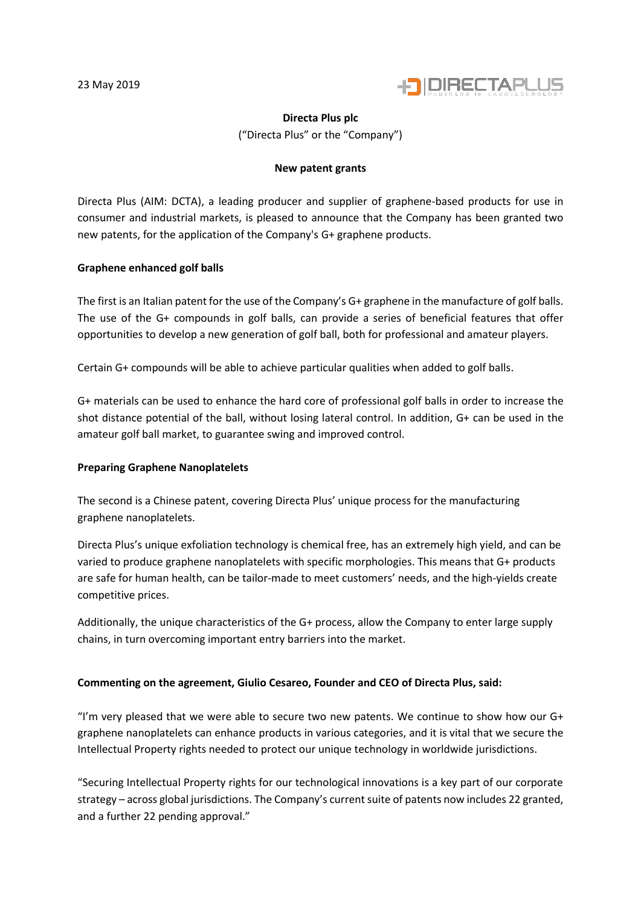

## **Directa Plus plc**

("Directa Plus" or the "Company")

# **New patent grants**

Directa Plus (AIM: DCTA), a leading producer and supplier of graphene-based products for use in consumer and industrial markets, is pleased to announce that the Company has been granted two new patents, for the application of the Company's G+ graphene products.

# **Graphene enhanced golf balls**

The first is an Italian patent for the use of the Company's G+ graphene in the manufacture of golf balls. The use of the G+ compounds in golf balls, can provide a series of beneficial features that offer opportunities to develop a new generation of golf ball, both for professional and amateur players.

Certain G+ compounds will be able to achieve particular qualities when added to golf balls.

G+ materials can be used to enhance the hard core of professional golf balls in order to increase the shot distance potential of the ball, without losing lateral control. In addition, G+ can be used in the amateur golf ball market, to guarantee swing and improved control.

# **Preparing Graphene Nanoplatelets**

The second is a Chinese patent, covering Directa Plus' unique process for the manufacturing graphene nanoplatelets.

Directa Plus's unique exfoliation technology is chemical free, has an extremely high yield, and can be varied to produce graphene nanoplatelets with specific morphologies. This means that G+ products are safe for human health, can be tailor-made to meet customers' needs, and the high-yields create competitive prices.

Additionally, the unique characteristics of the G+ process, allow the Company to enter large supply chains, in turn overcoming important entry barriers into the market.

# **Commenting on the agreement, Giulio Cesareo, Founder and CEO of Directa Plus, said:**

"I'm very pleased that we were able to secure two new patents. We continue to show how our  $G<sup>+</sup>$ graphene nanoplatelets can enhance products in various categories, and it is vital that we secure the Intellectual Property rights needed to protect our unique technology in worldwide jurisdictions.

"Securing Intellectual Property rights for our technological innovations is a key part of our corporate strategy – across global jurisdictions. The Company's current suite of patents now includes 22 granted, and a further 22 pending approval."